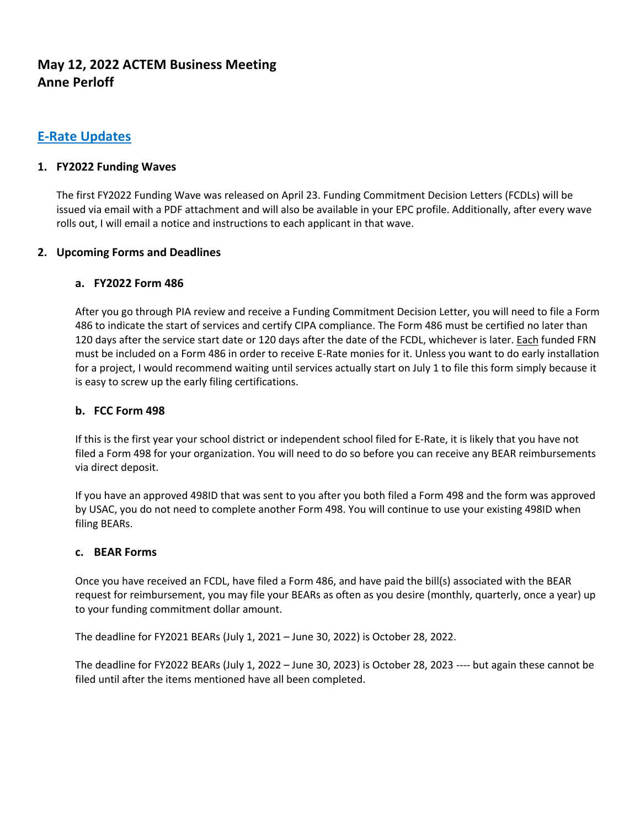# **May 12, 2022 ACTEM Business Meeting Anne Perloff**

## **E-Rate Updates**

#### **1. FY2022 Funding Waves**

The first FY2022 Funding Wave was released on April 23. Funding Commitment Decision Letters (FCDLs) will be issued via email with a PDF attachment and will also be available in your EPC profile. Additionally, after every wave rolls out, I will email a notice and instructions to each applicant in that wave.

#### **2. Upcoming Forms and Deadlines**

#### **a. FY2022 Form 486**

After you go through PIA review and receive a Funding Commitment Decision Letter, you will need to file a Form 486 to indicate the start of services and certify CIPA compliance. The Form 486 must be certified no later than 120 days after the service start date or 120 days after the date of the FCDL, whichever is later. Each funded FRN must be included on a Form 486 in order to receive E-Rate monies for it. Unless you want to do early installation for a project, I would recommend waiting until services actually start on July 1 to file this form simply because it is easy to screw up the early filing certifications.

#### **b. FCC Form 498**

If this is the first year your school district or independent school filed for E-Rate, it is likely that you have not filed a Form 498 for your organization. You will need to do so before you can receive any BEAR reimbursements via direct deposit.

If you have an approved 498ID that was sent to you after you both filed a Form 498 and the form was approved by USAC, you do not need to complete another Form 498. You will continue to use your existing 498ID when filing BEARs.

#### **c. BEAR Forms**

Once you have received an FCDL, have filed a Form 486, and have paid the bill(s) associated with the BEAR request for reimbursement, you may file your BEARs as often as you desire (monthly, quarterly, once a year) up to your funding commitment dollar amount.

The deadline for FY2021 BEARs (July 1, 2021 – June 30, 2022) is October 28, 2022.

The deadline for FY2022 BEARs (July 1, 2022 – June 30, 2023) is October 28, 2023 ---- but again these cannot be filed until after the items mentioned have all been completed.